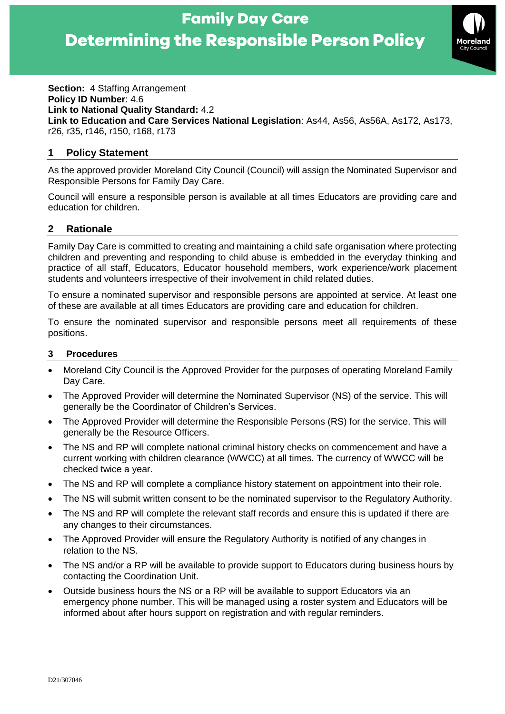

**Section:** 4 Staffing Arrangement **Policy ID Number**: 4.6 **Link to National Quality Standard:** 4.2 **Link to Education and Care Services National Legislation**: As44, As56, As56A, As172, As173, r26, r35, r146, r150, r168, r173

#### **1 Policy Statement**

As the approved provider Moreland City Council (Council) will assign the Nominated Supervisor and Responsible Persons for Family Day Care.

Council will ensure a responsible person is available at all times Educators are providing care and education for children.

#### **2 Rationale**

Family Day Care is committed to creating and maintaining a child safe organisation where protecting children and preventing and responding to child abuse is embedded in the everyday thinking and practice of all staff, Educators, Educator household members, work experience/work placement students and volunteers irrespective of their involvement in child related duties.

To ensure a nominated supervisor and responsible persons are appointed at service. At least one of these are available at all times Educators are providing care and education for children.

To ensure the nominated supervisor and responsible persons meet all requirements of these positions.

#### **3 Procedures**

- Moreland City Council is the Approved Provider for the purposes of operating Moreland Family Day Care.
- The Approved Provider will determine the Nominated Supervisor (NS) of the service. This will generally be the Coordinator of Children's Services.
- The Approved Provider will determine the Responsible Persons (RS) for the service. This will generally be the Resource Officers.
- The NS and RP will complete national criminal history checks on commencement and have a current working with children clearance (WWCC) at all times. The currency of WWCC will be checked twice a year.
- The NS and RP will complete a compliance history statement on appointment into their role.
- The NS will submit written consent to be the nominated supervisor to the Regulatory Authority.
- The NS and RP will complete the relevant staff records and ensure this is updated if there are any changes to their circumstances.
- The Approved Provider will ensure the Regulatory Authority is notified of any changes in relation to the NS.
- The NS and/or a RP will be available to provide support to Educators during business hours by contacting the Coordination Unit.
- Outside business hours the NS or a RP will be available to support Educators via an emergency phone number. This will be managed using a roster system and Educators will be informed about after hours support on registration and with regular reminders.